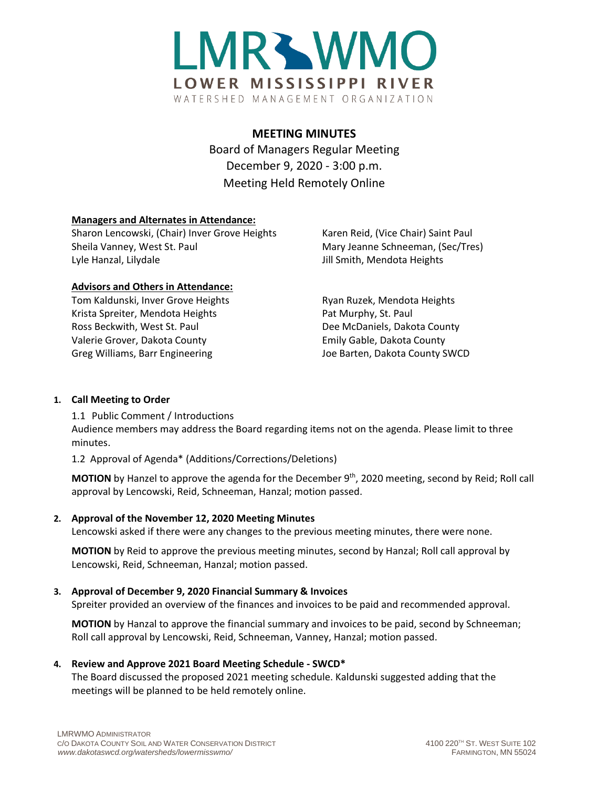

# **MEETING MINUTES**

Board of Managers Regular Meeting December 9, 2020 - 3:00 p.m. Meeting Held Remotely Online

#### **Managers and Alternates in Attendance:**

Sharon Lencowski, (Chair) Inver Grove Heights Karen Reid, (Vice Chair) Saint Paul Sheila Vanney, West St. Paul Mary Jeanne Schneeman, (Sec/Tres) Lyle Hanzal, Lilydale **Jill Smith, Mendota Heights** 

#### **Advisors and Others in Attendance:**

Tom Kaldunski, Inver Grove Heights **Ryan Ruzek, Mendota Heights** Ryan Ruzek, Mendota Heights Krista Spreiter, Mendota Heights Pat Murphy, St. Paul Ross Beckwith, West St. Paul **Dee McDaniels, Dakota County** Valerie Grover, Dakota County Emily Gable, Dakota County Greg Williams, Barr Engineering The County SWCD Joe Barten, Dakota County SWCD

## **1. Call Meeting to Order**

1.1 Public Comment / Introductions Audience members may address the Board regarding items not on the agenda. Please limit to three minutes.

1.2 Approval of Agenda\* (Additions/Corrections/Deletions)

**MOTION** by Hanzel to approve the agenda for the December 9<sup>th</sup>, 2020 meeting, second by Reid; Roll call approval by Lencowski, Reid, Schneeman, Hanzal; motion passed.

#### **2. Approval of the November 12, 2020 Meeting Minutes**

Lencowski asked if there were any changes to the previous meeting minutes, there were none.

**MOTION** by Reid to approve the previous meeting minutes, second by Hanzal; Roll call approval by Lencowski, Reid, Schneeman, Hanzal; motion passed.

# **3. Approval of December 9, 2020 Financial Summary & Invoices**

Spreiter provided an overview of the finances and invoices to be paid and recommended approval.

**MOTION** by Hanzal to approve the financial summary and invoices to be paid, second by Schneeman; Roll call approval by Lencowski, Reid, Schneeman, Vanney, Hanzal; motion passed.

# **4. Review and Approve 2021 Board Meeting Schedule - SWCD\***

The Board discussed the proposed 2021 meeting schedule. Kaldunski suggested adding that the meetings will be planned to be held remotely online.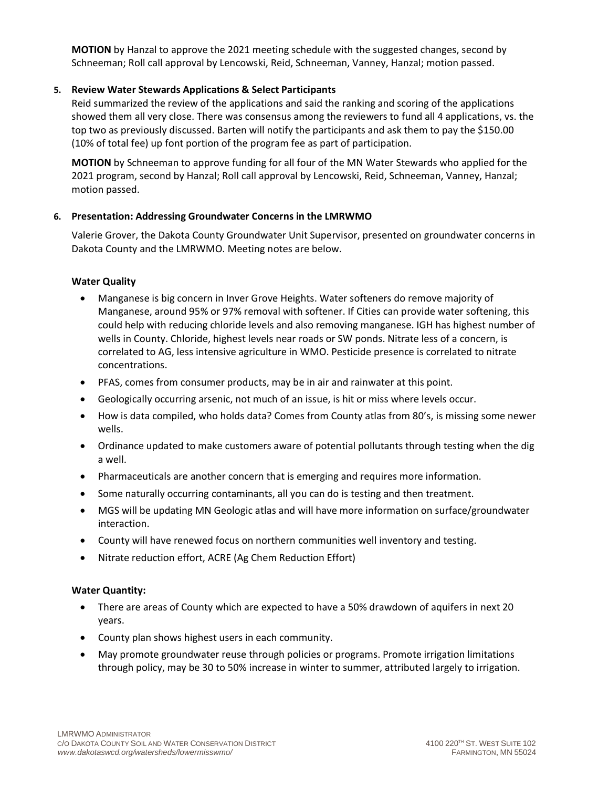**MOTION** by Hanzal to approve the 2021 meeting schedule with the suggested changes, second by Schneeman; Roll call approval by Lencowski, Reid, Schneeman, Vanney, Hanzal; motion passed.

## **5. Review Water Stewards Applications & Select Participants**

Reid summarized the review of the applications and said the ranking and scoring of the applications showed them all very close. There was consensus among the reviewers to fund all 4 applications, vs. the top two as previously discussed. Barten will notify the participants and ask them to pay the \$150.00 (10% of total fee) up font portion of the program fee as part of participation.

**MOTION** by Schneeman to approve funding for all four of the MN Water Stewards who applied for the 2021 program, second by Hanzal; Roll call approval by Lencowski, Reid, Schneeman, Vanney, Hanzal; motion passed.

#### **6. Presentation: Addressing Groundwater Concerns in the LMRWMO**

Valerie Grover, the Dakota County Groundwater Unit Supervisor, presented on groundwater concerns in Dakota County and the LMRWMO. Meeting notes are below.

#### **Water Quality**

- Manganese is big concern in Inver Grove Heights. Water softeners do remove majority of Manganese, around 95% or 97% removal with softener. If Cities can provide water softening, this could help with reducing chloride levels and also removing manganese. IGH has highest number of wells in County. Chloride, highest levels near roads or SW ponds. Nitrate less of a concern, is correlated to AG, less intensive agriculture in WMO. Pesticide presence is correlated to nitrate concentrations.
- PFAS, comes from consumer products, may be in air and rainwater at this point.
- Geologically occurring arsenic, not much of an issue, is hit or miss where levels occur.
- How is data compiled, who holds data? Comes from County atlas from 80's, is missing some newer wells.
- Ordinance updated to make customers aware of potential pollutants through testing when the dig a well.
- Pharmaceuticals are another concern that is emerging and requires more information.
- Some naturally occurring contaminants, all you can do is testing and then treatment.
- MGS will be updating MN Geologic atlas and will have more information on surface/groundwater interaction.
- County will have renewed focus on northern communities well inventory and testing.
- Nitrate reduction effort, ACRE (Ag Chem Reduction Effort)

#### **Water Quantity:**

- There are areas of County which are expected to have a 50% drawdown of aquifers in next 20 years.
- County plan shows highest users in each community.
- May promote groundwater reuse through policies or programs. Promote irrigation limitations through policy, may be 30 to 50% increase in winter to summer, attributed largely to irrigation.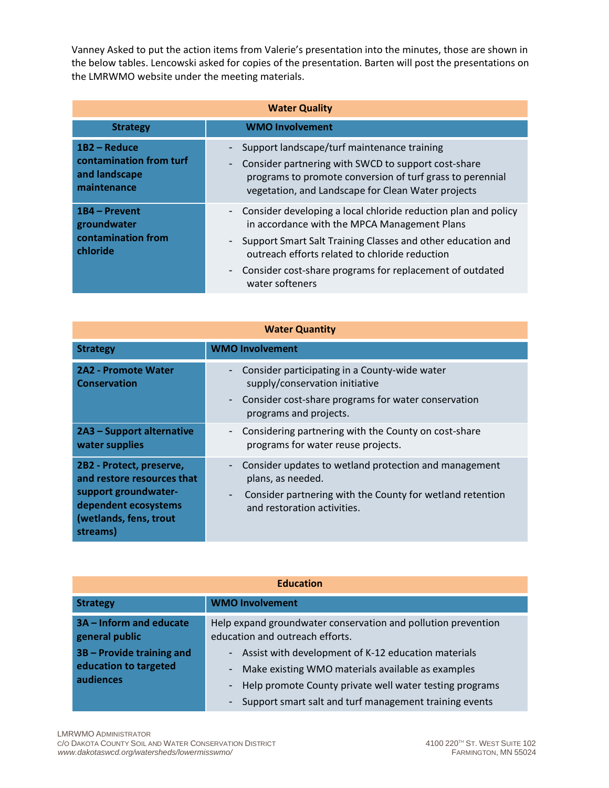Vanney Asked to put the action items from Valerie's presentation into the minutes, those are shown in the below tables. Lencowski asked for copies of the presentation. Barten will post the presentations on the LMRWMO website under the meeting materials.

| <b>Water Quality</b>                                                    |                                                                                                                                                                                                                                                                                                                  |  |
|-------------------------------------------------------------------------|------------------------------------------------------------------------------------------------------------------------------------------------------------------------------------------------------------------------------------------------------------------------------------------------------------------|--|
| <b>Strategy</b>                                                         | <b>WMO Involvement</b>                                                                                                                                                                                                                                                                                           |  |
| 1B2 - Reduce<br>contamination from turf<br>and landscape<br>maintenance | Support landscape/turf maintenance training<br>Consider partnering with SWCD to support cost-share<br>programs to promote conversion of turf grass to perennial<br>vegetation, and Landscape for Clean Water projects                                                                                            |  |
| 1B4 – Prevent<br>groundwater<br>contamination from<br>chloride          | - Consider developing a local chloride reduction plan and policy<br>in accordance with the MPCA Management Plans<br>Support Smart Salt Training Classes and other education and<br>outreach efforts related to chloride reduction<br>Consider cost-share programs for replacement of outdated<br>water softeners |  |

| <b>Water Quantity</b>                                                                                                                        |                                                                                                                                                                        |  |
|----------------------------------------------------------------------------------------------------------------------------------------------|------------------------------------------------------------------------------------------------------------------------------------------------------------------------|--|
| <b>Strategy</b>                                                                                                                              | <b>WMO Involvement</b>                                                                                                                                                 |  |
| <b>2A2 - Promote Water</b><br><b>Conservation</b>                                                                                            | Consider participating in a County-wide water<br>supply/conservation initiative<br>Consider cost-share programs for water conservation<br>programs and projects.       |  |
| 2A3 – Support alternative<br>water supplies                                                                                                  | Considering partnering with the County on cost-share<br>programs for water reuse projects.                                                                             |  |
| 2B2 - Protect, preserve,<br>and restore resources that<br>support groundwater-<br>dependent ecosystems<br>(wetlands, fens, trout<br>streams) | Consider updates to wetland protection and management<br>plans, as needed.<br>Consider partnering with the County for wetland retention<br>and restoration activities. |  |

| <b>Education</b>                                                |                                                                                                                                                                                                                               |
|-----------------------------------------------------------------|-------------------------------------------------------------------------------------------------------------------------------------------------------------------------------------------------------------------------------|
| <b>Strategy</b>                                                 | <b>WMO Involvement</b>                                                                                                                                                                                                        |
| 3A - Inform and educate<br>general public                       | Help expand groundwater conservation and pollution prevention<br>education and outreach efforts.                                                                                                                              |
| 3B - Provide training and<br>education to targeted<br>audiences | Assist with development of K-12 education materials<br>Make existing WMO materials available as examples<br>Help promote County private well water testing programs<br>Support smart salt and turf management training events |